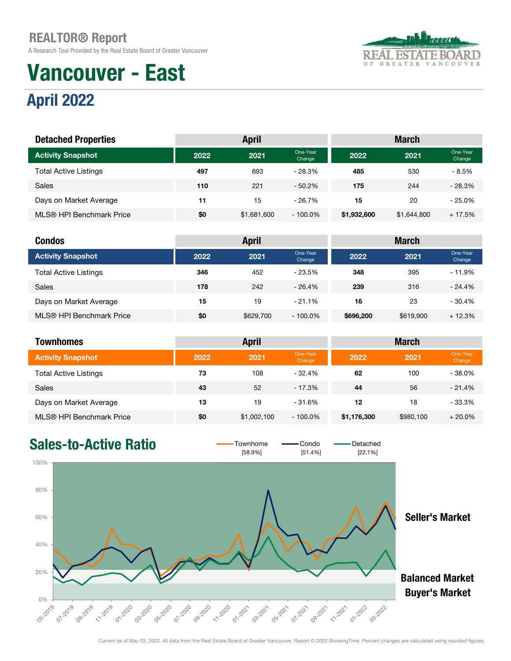A Research Tool Provided by the Real Estate Board of Greater Vancouver

# Vancouver - East

### April 2022

| <b>REAL ESTATE BOARD</b> |  |  |  |                   |  |  |  |  |
|--------------------------|--|--|--|-------------------|--|--|--|--|
| OF.                      |  |  |  | GREATER VANCOUVER |  |  |  |  |

| <b>Detached Properties</b>   |      | <b>April</b> |                    | <b>March</b> |             |                    |  |
|------------------------------|------|--------------|--------------------|--------------|-------------|--------------------|--|
| <b>Activity Snapshot</b>     | 2022 | 2021         | One-Year<br>Change | 2022         | 2021        | One-Year<br>Change |  |
| <b>Total Active Listings</b> | 497  | 693          | $-28.3%$           | 485          | 530         | $-8.5%$            |  |
| Sales                        | 110  | 221          | $-50.2%$           | 175          | 244         | $-28.3%$           |  |
| Days on Market Average       | 11   | 15           | $-26.7%$           | 15           | 20          | $-25.0%$           |  |
| MLS® HPI Benchmark Price     | \$0  | \$1,681,600  | $-100.0\%$         | \$1,932,600  | \$1,644,800 | $+17.5%$           |  |

| <b>Condos</b>                |      | <b>April</b> |                    | <b>March</b> |           |                    |  |
|------------------------------|------|--------------|--------------------|--------------|-----------|--------------------|--|
| <b>Activity Snapshot</b>     | 2022 | 2021         | One-Year<br>Change | 2022         | 2021      | One-Year<br>Change |  |
| <b>Total Active Listings</b> | 346  | 452          | $-23.5%$           | 348          | 395       | $-11.9%$           |  |
| <b>Sales</b>                 | 178  | 242          | $-26.4%$           | 239          | 316       | $-24.4%$           |  |
| Days on Market Average       | 15   | 19           | $-21.1%$           | 16           | 23        | $-30.4%$           |  |
| MLS® HPI Benchmark Price     | \$0  | \$629,700    | $-100.0\%$         | \$696,200    | \$619,900 | $+12.3%$           |  |

| <b>Townhomes</b>             |      | <b>April</b> |                    | <b>March</b> |           |                    |  |
|------------------------------|------|--------------|--------------------|--------------|-----------|--------------------|--|
| <b>Activity Snapshot</b>     | 2022 | 2021         | One-Year<br>Change | 2022         | 2021      | One-Year<br>Change |  |
| <b>Total Active Listings</b> | 73   | 108          | $-32.4%$           | 62           | 100       | $-38.0%$           |  |
| <b>Sales</b>                 | 43   | 52           | $-17.3%$           | 44           | 56        | $-21.4%$           |  |
| Days on Market Average       | 13   | 19           | $-31.6%$           | 12           | 18        | $-33.3%$           |  |
| MLS® HPI Benchmark Price     | \$0  | \$1,002,100  | $-100.0\%$         | \$1,176,300  | \$980,100 | $+20.0%$           |  |



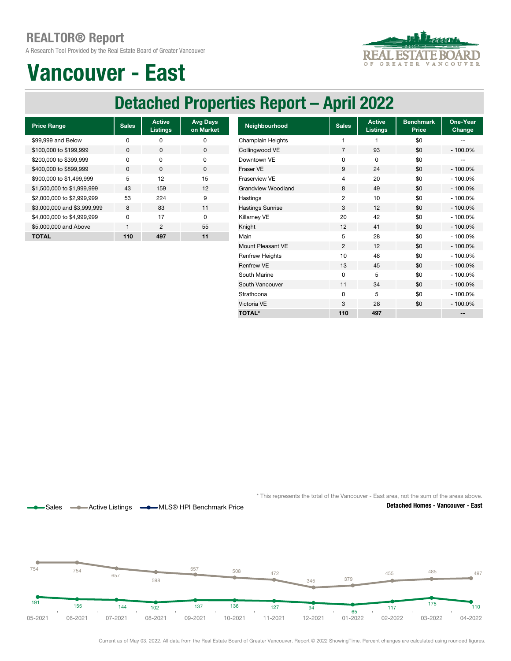A Research Tool Provided by the Real Estate Board of Greater Vancouver



### Vancouver - East

### Detached Properties Report – April 2022

| <b>Price Range</b>          | <b>Sales</b> | <b>Active</b><br><b>Listings</b> | <b>Avg Days</b><br>on Market |
|-----------------------------|--------------|----------------------------------|------------------------------|
| \$99,999 and Below          | ŋ            | n                                | ŋ                            |
| \$100,000 to \$199,999      | O            | <sup>0</sup>                     | $\Omega$                     |
| \$200,000 to \$399,999      | ŋ            | O                                | 0                            |
| \$400,000 to \$899,999      | $\Omega$     | $\Omega$                         | <sup>0</sup>                 |
| \$900,000 to \$1,499,999    | 5            | 12                               | 15                           |
| \$1,500,000 to \$1,999,999  | 43           | 159                              | 12                           |
| \$2,000,000 to \$2,999,999  | 53           | 224                              | 9                            |
| \$3,000,000 and \$3,999,999 | 8            | 83                               | 11                           |
| \$4,000,000 to \$4,999,999  | n            | 17                               | O                            |
| \$5,000,000 and Above       | 1            | 2                                | 55                           |
| <b>TOTAL</b>                | 110          | 497                              | 11                           |

Sales **-Active Listings - MLS® HPI Benchmark Price** 

| <b>Price Range</b>          | <b>Sales</b> | <b>Active</b><br>Listings | <b>Avg Days</b><br>on Market | Neighbourhood             | <b>Sales</b>   | <b>Active</b><br><b>Listings</b> | <b>Benchmark</b><br>Price | One-Year<br>Change |
|-----------------------------|--------------|---------------------------|------------------------------|---------------------------|----------------|----------------------------------|---------------------------|--------------------|
| \$99,999 and Below          | 0            | 0                         | 0                            | Champlain Heights         |                |                                  | \$0                       |                    |
| \$100,000 to \$199,999      | 0            | $\mathbf 0$               | $\mathbf 0$                  | Collingwood VE            | 7              | 93                               | \$0                       | $-100.0%$          |
| \$200,000 to \$399,999      | 0            | $\mathbf 0$               | 0                            | Downtown VE               | 0              | 0                                | \$0                       | --                 |
| \$400,000 to \$899,999      | $\mathbf 0$  | $\mathbf 0$               | 0                            | Fraser VE                 | 9              | 24                               | \$0                       | $-100.0%$          |
| \$900,000 to \$1,499,999    | 5            | 12                        | 15                           | Fraserview VE             | 4              | 20                               | \$0                       | $-100.0%$          |
| \$1,500,000 to \$1,999,999  | 43           | 159                       | 12                           | <b>Grandview Woodland</b> | 8              | 49                               | \$0                       | $-100.0%$          |
| \$2,000,000 to \$2,999,999  | 53           | 224                       | 9                            | Hastings                  | 2              | 10                               | \$0                       | $-100.0%$          |
| \$3,000,000 and \$3,999,999 | 8            | 83                        | 11                           | <b>Hastings Sunrise</b>   | 3              | 12                               | \$0                       | $-100.0%$          |
| \$4,000,000 to \$4,999,999  | 0            | 17                        | $\mathbf 0$                  | Killarney VE              | 20             | 42                               | \$0                       | $-100.0%$          |
| \$5,000,000 and Above       |              | 2                         | 55                           | Knight                    | 12             | 41                               | \$0                       | $-100.0%$          |
| <b>TOTAL</b>                | 110          | 497                       | 11                           | Main                      | 5              | 28                               | \$0                       | $-100.0%$          |
|                             |              |                           |                              | Mount Pleasant VE         | $\overline{2}$ | 12                               | \$0                       | $-100.0%$          |
|                             |              |                           |                              | <b>Renfrew Heights</b>    | 10             | 48                               | \$0                       | $-100.0\%$         |
|                             |              |                           |                              | <b>Renfrew VE</b>         | 13             | 45                               | \$0                       | $-100.0%$          |
|                             |              |                           |                              | South Marine              | 0              | 5                                | \$0                       | $-100.0%$          |
|                             |              |                           |                              | South Vancouver           | 11             | 34                               | \$0                       | $-100.0%$          |
|                             |              |                           |                              | Strathcona                | 0              | 5                                | \$0                       | $-100.0%$          |
|                             |              |                           |                              | Victoria VE               | 3              | 28                               | \$0                       | $-100.0%$          |
|                             |              |                           |                              | <b>TOTAL*</b>             | 110            | 497                              |                           |                    |



Detached Homes - Vancouver - East



Current as of May 03, 2022. All data from the Real Estate Board of Greater Vancouver. Report © 2022 ShowingTime. Percent changes are calculated using rounded figures.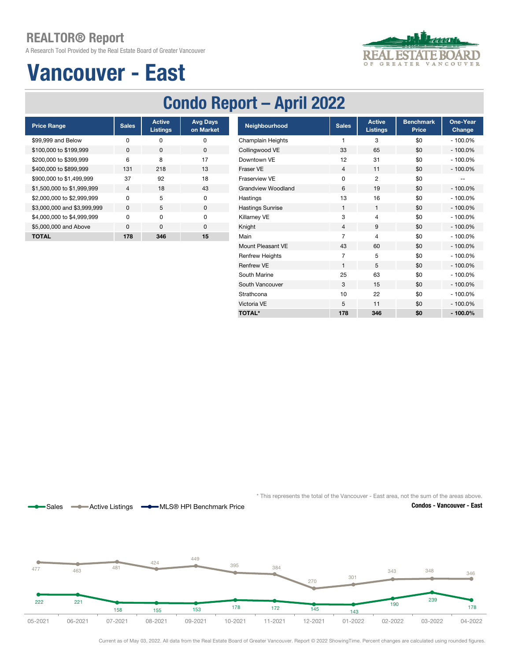A Research Tool Provided by the Real Estate Board of Greater Vancouver

## Vancouver - East



### Condo Report – April 2022

| <b>Price Range</b>          | <b>Sales</b>   | <b>Active</b><br><b>Listings</b> | <b>Avg Days</b><br>on Market |
|-----------------------------|----------------|----------------------------------|------------------------------|
| \$99,999 and Below          | ŋ              | ŋ                                | O                            |
| \$100,000 to \$199,999      | O              | <sup>0</sup>                     | U                            |
| \$200,000 to \$399,999      | 6              | 8                                | 17                           |
| \$400,000 to \$899,999      | 131            | 218                              | 13                           |
| \$900,000 to \$1,499,999    | 37             | 92                               | 18                           |
| \$1,500,000 to \$1,999,999  | $\overline{4}$ | 18                               | 43                           |
| \$2,000,000 to \$2,999,999  | O              | 5                                | <sup>n</sup>                 |
| \$3,000,000 and \$3,999,999 | $\Omega$       | 5                                | $\Omega$                     |
| \$4,000,000 to \$4,999,999  | U              | U                                | O                            |
| \$5,000,000 and Above       | $\Omega$       | <sup>n</sup>                     | $\Omega$                     |
| <b>TOTAL</b>                | 178            | 346                              | 15                           |

Sales **-Active Listings - MLS® HPI Benchmark Price** 

| <b>Price Range</b>          | <b>Sales</b> | <b>Active</b><br><b>Listings</b> | <b>Avg Days</b><br>on Market | Neighbourhood             | <b>Sales</b>   | <b>Active</b><br><b>Listings</b> | <b>Benchmark</b><br>Price | <b>One-Year</b><br><b>Change</b> |
|-----------------------------|--------------|----------------------------------|------------------------------|---------------------------|----------------|----------------------------------|---------------------------|----------------------------------|
| \$99.999 and Below          | 0            | 0                                | 0                            | Champlain Heights         | 1              | 3                                | \$0                       | $-100.0%$                        |
| \$100,000 to \$199,999      | 0            | $\mathbf 0$                      | 0                            | Collingwood VE            | 33             | 65                               | \$0                       | $-100.0%$                        |
| \$200,000 to \$399,999      | 6            | 8                                | 17                           | Downtown VE               | 12             | 31                               | \$0                       | $-100.0%$                        |
| \$400,000 to \$899,999      | 131          | 218                              | 13                           | Fraser VE                 | $\overline{4}$ | 11                               | \$0                       | $-100.0%$                        |
| \$900,000 to \$1,499,999    | 37           | 92                               | 18                           | Fraserview VE             | $\mathbf 0$    | 2                                | \$0                       | --                               |
| \$1,500,000 to \$1,999,999  | 4            | 18                               | 43                           | <b>Grandview Woodland</b> | 6              | 19                               | \$0                       | $-100.0%$                        |
| \$2,000,000 to \$2,999,999  | 0            | 5                                | 0                            | Hastings                  | 13             | 16                               | \$0                       | $-100.0%$                        |
| \$3,000,000 and \$3,999,999 | 0            | 5                                | 0                            | <b>Hastings Sunrise</b>   | 1              | 1                                | \$0                       | $-100.0%$                        |
| \$4,000,000 to \$4,999,999  | 0            | 0                                | 0                            | Killarney VE              | 3              | 4                                | \$0                       | $-100.0%$                        |
| \$5,000,000 and Above       | 0            | $\mathbf 0$                      | 0                            | Knight                    | $\overline{4}$ | 9                                | \$0                       | $-100.0%$                        |
| <b>TOTAL</b>                | 178          | 346                              | 15                           | Main                      | 7              | 4                                | \$0                       | $-100.0%$                        |
|                             |              |                                  |                              | Mount Pleasant VE         | 43             | 60                               | \$0                       | $-100.0%$                        |
|                             |              |                                  |                              | <b>Renfrew Heights</b>    | 7              | 5                                | \$0                       | $-100.0%$                        |
|                             |              |                                  |                              | Renfrew VE                | 1              | 5                                | \$0                       | $-100.0%$                        |
|                             |              |                                  |                              | South Marine              | 25             | 63                               | \$0                       | $-100.0\%$                       |
|                             |              |                                  |                              | South Vancouver           | 3              | 15                               | \$0                       | $-100.0%$                        |
|                             |              |                                  |                              | Strathcona                | 10             | 22                               | \$0                       | $-100.0%$                        |
|                             |              |                                  |                              | Victoria VE               | 5              | 11                               | \$0                       | $-100.0%$                        |
|                             |              |                                  |                              | <b>TOTAL*</b>             | 178            | 346                              | \$0                       | $-100.0\%$                       |

\* This represents the total of the Vancouver - East area, not the sum of the areas above.

Condos - Vancouver - East



Current as of May 03, 2022. All data from the Real Estate Board of Greater Vancouver. Report © 2022 ShowingTime. Percent changes are calculated using rounded figures.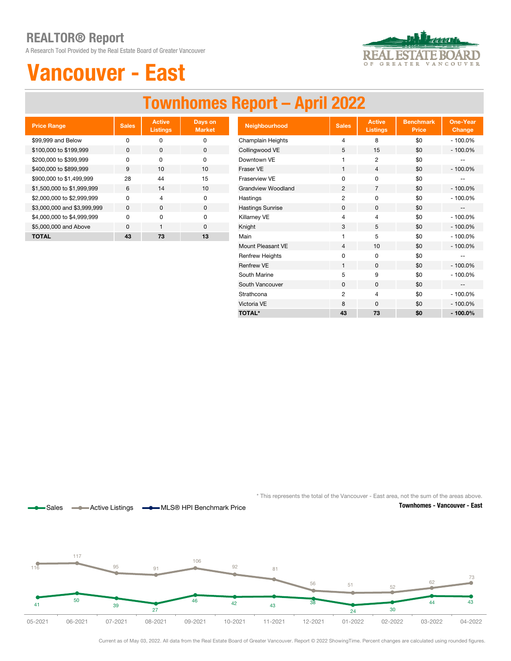A Research Tool Provided by the Real Estate Board of Greater Vancouver



## Vancouver - East

### Townhomes Report – April 2022

| <b>Price Range</b>          | <b>Sales</b> | <b>Active</b><br><b>Listings</b> | Days on<br><b>Market</b> |
|-----------------------------|--------------|----------------------------------|--------------------------|
| \$99,999 and Below          | O            | 0                                | n                        |
| \$100,000 to \$199,999      | O            | $\Omega$                         | O                        |
| \$200,000 to \$399,999      | O            | U                                | O                        |
| \$400,000 to \$899,999      | 9            | 10                               | 10                       |
| \$900,000 to \$1,499,999    | 28           | 44                               | 15                       |
| \$1,500,000 to \$1,999,999  | 6            | 14                               | 10                       |
| \$2,000,000 to \$2,999,999  | U            | $\overline{4}$                   | U                        |
| \$3,000,000 and \$3,999,999 | $\Omega$     | O                                | $\Omega$                 |
| \$4,000,000 to \$4,999,999  | O            | O                                | $\Omega$                 |
| \$5,000,000 and Above       | n            | 1                                | n                        |
| <b>TOTAL</b>                | 43           | 73                               | 13                       |

Sales **-Active Listings - MLS® HPI Benchmark Price** 

| <b>Price Range</b>          | <b>Sales</b> | <b>Active</b><br><b>Listings</b> | Days on<br><b>Market</b> | Neighbourhood             | <b>Sales</b>   | <b>Active</b><br>Listings | <b>Benchmark</b><br><b>Price</b> | <b>One-Year</b><br><b>Change</b> |
|-----------------------------|--------------|----------------------------------|--------------------------|---------------------------|----------------|---------------------------|----------------------------------|----------------------------------|
| \$99,999 and Below          | $\mathbf 0$  | $\mathbf 0$                      | $\pmb{0}$                | <b>Champlain Heights</b>  | 4              | 8                         | \$0                              | $-100.0%$                        |
| \$100,000 to \$199,999      | $\mathbf{0}$ | 0                                | 0                        | Collingwood VE            | 5              | 15                        | \$0                              | $-100.0%$                        |
| \$200,000 to \$399,999      | $\mathbf 0$  | $\mathbf 0$                      | $\mathbf 0$              | Downtown VE               |                | $\overline{2}$            | \$0                              |                                  |
| \$400,000 to \$899,999      | 9            | 10                               | 10                       | Fraser VE                 | $\mathbf{1}$   | 4                         | \$0                              | $-100.0%$                        |
| \$900,000 to \$1,499,999    | 28           | 44                               | 15                       | Fraserview VE             | $\mathbf 0$    | 0                         | \$0                              | --                               |
| \$1,500,000 to \$1,999,999  | 6            | 14                               | 10                       | <b>Grandview Woodland</b> | $\overline{2}$ | $\overline{7}$            | \$0                              | $-100.0%$                        |
| \$2,000,000 to \$2,999,999  | $\mathbf 0$  | 4                                | 0                        | Hastings                  | $\overline{2}$ | 0                         | \$0                              | $-100.0%$                        |
| \$3,000,000 and \$3,999,999 | 0            | $\mathbf 0$                      | $\mathbf 0$              | <b>Hastings Sunrise</b>   | $\mathbf 0$    | $\mathbf 0$               | \$0                              | $\qquad \qquad -$                |
| \$4,000,000 to \$4,999,999  | $\mathbf 0$  | $\mathbf 0$                      | $\mathbf 0$              | Killarney VE              | 4              | 4                         | \$0                              | $-100.0%$                        |
| \$5,000,000 and Above       | $\mathbf 0$  | $\mathbf{1}$                     | 0                        | Knight                    | 3              | 5                         | \$0                              | $-100.0%$                        |
| <b>TOTAL</b>                | 43           | 73                               | 13                       | Main                      |                | 5                         | \$0                              | $-100.0%$                        |
|                             |              |                                  |                          | Mount Pleasant VE         | $\overline{4}$ | 10                        | \$0                              | $-100.0%$                        |
|                             |              |                                  |                          | <b>Renfrew Heights</b>    | $\mathbf 0$    | 0                         | \$0                              | $\overline{\phantom{m}}$         |
|                             |              |                                  |                          | <b>Renfrew VE</b>         |                | $\mathbf 0$               | \$0                              | $-100.0%$                        |
|                             |              |                                  |                          | South Marine              | 5              | 9                         | \$0                              | $-100.0%$                        |
|                             |              |                                  |                          | South Vancouver           | $\mathbf 0$    | $\mathbf 0$               | \$0                              | $\overline{\phantom{a}}$         |
|                             |              |                                  |                          | Strathcona                | $\overline{2}$ | 4                         | \$0                              | $-100.0%$                        |
|                             |              |                                  |                          | Victoria VE               | 8              | 0                         | \$0                              | $-100.0%$                        |
|                             |              |                                  |                          | <b>TOTAL*</b>             | 43             | 73                        | \$0                              | $-100.0\%$                       |



Townhomes - Vancouver - East

 $\mathcal{M}(\mathcal{A})$ 05-2021 41 50 39 27 46 42 43 38 24 30 44 43 116 117 95 91 106 <sup>92</sup> <sup>81</sup> 56 51 52 62 73 05-2021 06-2021 07-2021 08-2021 09-2021 10-2021 11-2021 12-2021 01-2022 02-2022 03-2022 04-2022

Current as of May 03, 2022. All data from the Real Estate Board of Greater Vancouver. Report © 2022 ShowingTime. Percent changes are calculated using rounded figures.